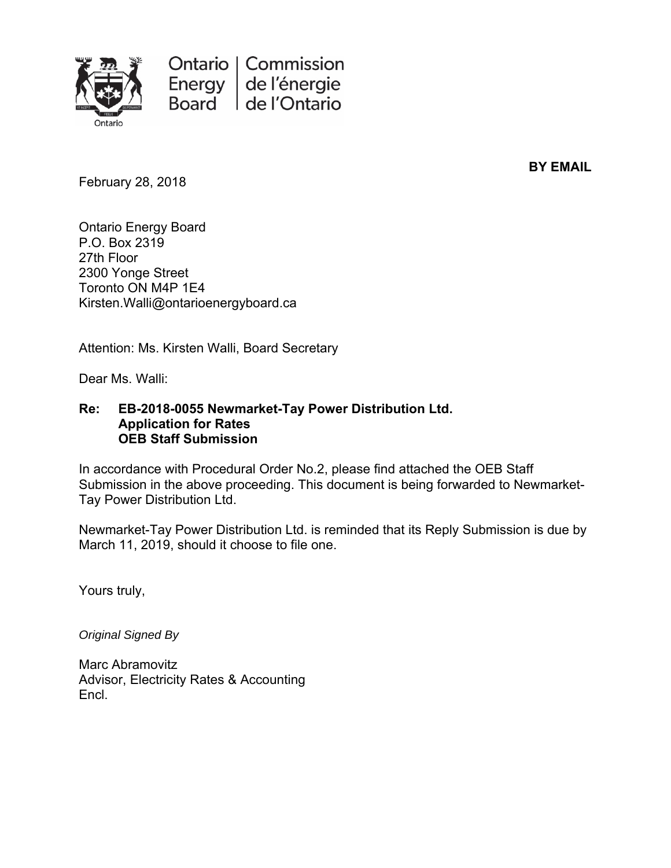

Ontario | Commission Energy de l'énergie **Board** de l'Ontario

**BY EMAIL** 

February 28, 2018

Ontario Energy Board P.O. Box 2319 27th Floor 2300 Yonge Street Toronto ON M4P 1E4 Kirsten.Walli@ontarioenergyboard.ca

Attention: Ms. Kirsten Walli, Board Secretary

Dear Ms. Walli:

#### **Re: EB-2018-0055 Newmarket-Tay Power Distribution Ltd. Application for Rates OEB Staff Submission**

In accordance with Procedural Order No.2, please find attached the OEB Staff Submission in the above proceeding. This document is being forwarded to Newmarket-Tay Power Distribution Ltd.

Newmarket-Tay Power Distribution Ltd. is reminded that its Reply Submission is due by March 11, 2019, should it choose to file one.

Yours truly,

*Original Signed By* 

Marc Abramovitz Advisor, Electricity Rates & Accounting Encl.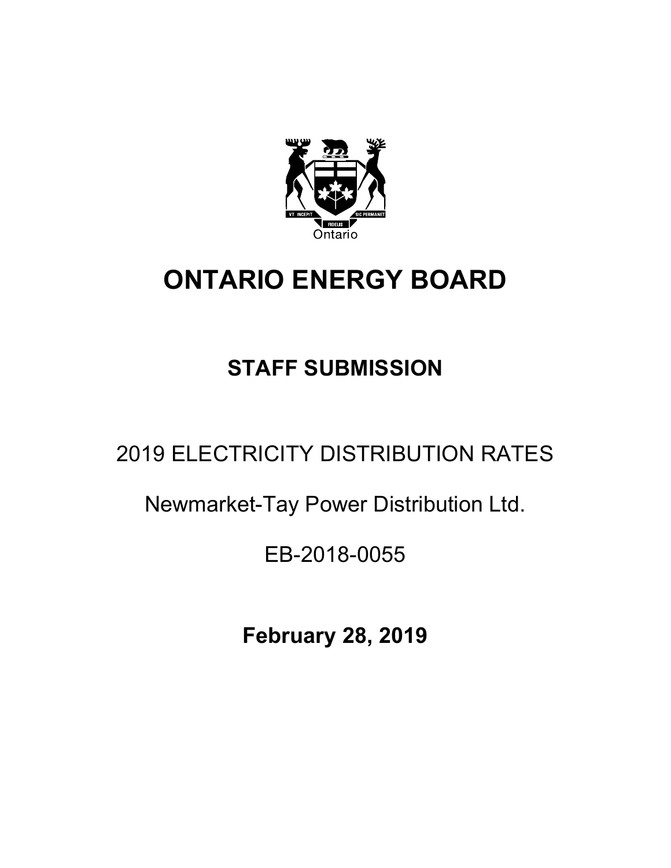

# **ONTARIO ENERGY BOARD**

# **STAFF SUBMISSION**

# 2019 ELECTRICITY DISTRIBUTION RATES

## Newmarket-Tay Power Distribution Ltd.

## EB-2018-0055

**February 28, 2019**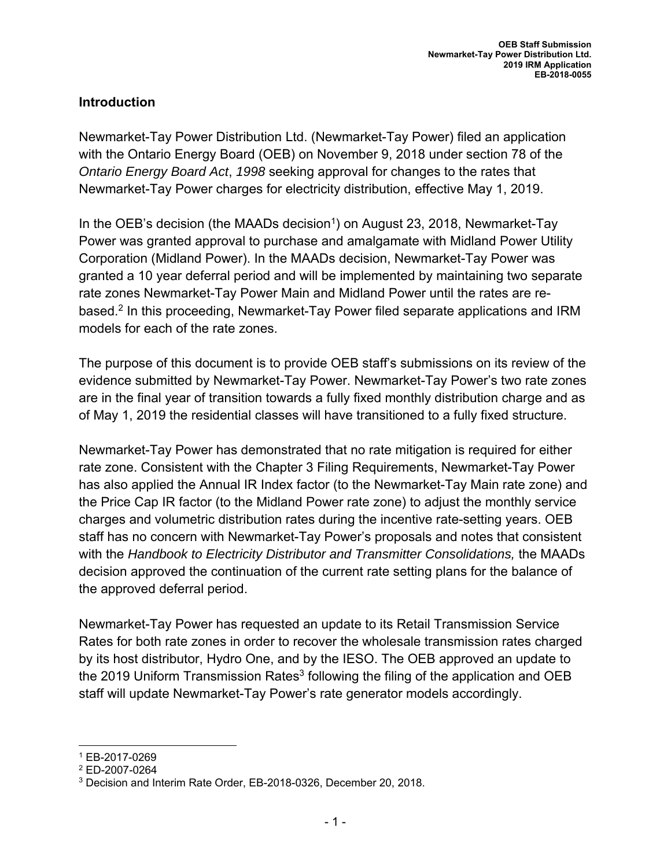#### **Introduction**

Newmarket-Tay Power Distribution Ltd. (Newmarket-Tay Power) filed an application with the Ontario Energy Board (OEB) on November 9, 2018 under section 78 of the *Ontario Energy Board Act*, *1998* seeking approval for changes to the rates that Newmarket-Tay Power charges for electricity distribution, effective May 1, 2019.

In the OEB's decision (the MAADs decision<sup>1</sup>) on August 23, 2018, Newmarket-Tay Power was granted approval to purchase and amalgamate with Midland Power Utility Corporation (Midland Power). In the MAADs decision, Newmarket-Tay Power was granted a 10 year deferral period and will be implemented by maintaining two separate rate zones Newmarket-Tay Power Main and Midland Power until the rates are rebased.2 In this proceeding, Newmarket-Tay Power filed separate applications and IRM models for each of the rate zones.

The purpose of this document is to provide OEB staff's submissions on its review of the evidence submitted by Newmarket-Tay Power. Newmarket-Tay Power's two rate zones are in the final year of transition towards a fully fixed monthly distribution charge and as of May 1, 2019 the residential classes will have transitioned to a fully fixed structure.

Newmarket-Tay Power has demonstrated that no rate mitigation is required for either rate zone. Consistent with the Chapter 3 Filing Requirements, Newmarket-Tay Power has also applied the Annual IR Index factor (to the Newmarket-Tay Main rate zone) and the Price Cap IR factor (to the Midland Power rate zone) to adjust the monthly service charges and volumetric distribution rates during the incentive rate-setting years. OEB staff has no concern with Newmarket-Tay Power's proposals and notes that consistent with the *Handbook to Electricity Distributor and Transmitter Consolidations,* the MAADs decision approved the continuation of the current rate setting plans for the balance of the approved deferral period.

Newmarket-Tay Power has requested an update to its Retail Transmission Service Rates for both rate zones in order to recover the wholesale transmission rates charged by its host distributor, Hydro One, and by the IESO. The OEB approved an update to the 2019 Uniform Transmission Rates<sup>3</sup> following the filing of the application and OEB staff will update Newmarket-Tay Power's rate generator models accordingly.

 1 EB-2017-0269

<sup>2</sup> ED-2007-0264

<sup>3</sup> Decision and Interim Rate Order, EB-2018-0326, December 20, 2018.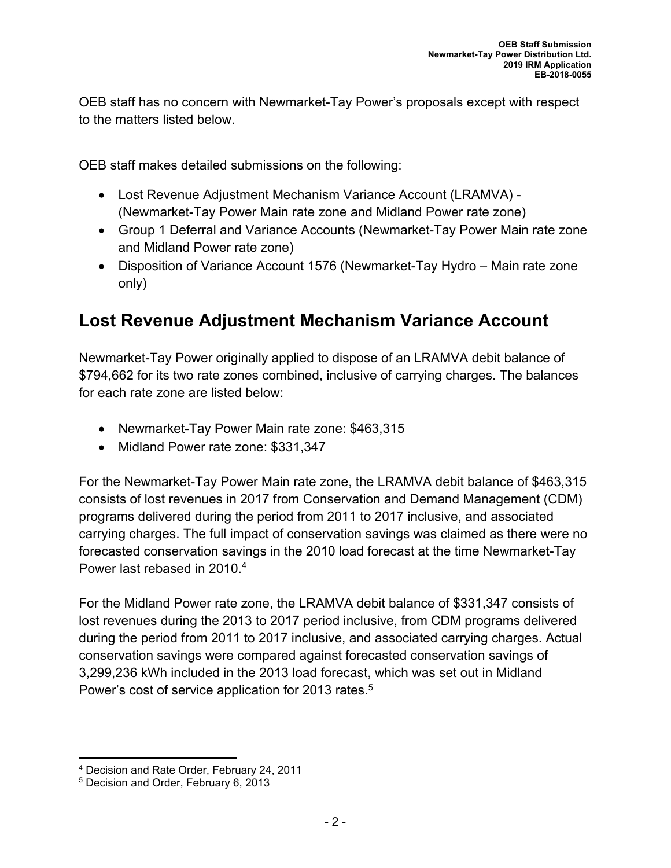OEB staff has no concern with Newmarket-Tay Power's proposals except with respect to the matters listed below.

OEB staff makes detailed submissions on the following:

- Lost Revenue Adjustment Mechanism Variance Account (LRAMVA) (Newmarket-Tay Power Main rate zone and Midland Power rate zone)
- Group 1 Deferral and Variance Accounts (Newmarket-Tay Power Main rate zone and Midland Power rate zone)
- Disposition of Variance Account 1576 (Newmarket-Tay Hydro Main rate zone only)

## **Lost Revenue Adjustment Mechanism Variance Account**

Newmarket-Tay Power originally applied to dispose of an LRAMVA debit balance of \$794,662 for its two rate zones combined, inclusive of carrying charges. The balances for each rate zone are listed below:

- Newmarket-Tay Power Main rate zone: \$463,315
- Midland Power rate zone: \$331,347

For the Newmarket-Tay Power Main rate zone, the LRAMVA debit balance of \$463,315 consists of lost revenues in 2017 from Conservation and Demand Management (CDM) programs delivered during the period from 2011 to 2017 inclusive, and associated carrying charges. The full impact of conservation savings was claimed as there were no forecasted conservation savings in the 2010 load forecast at the time Newmarket-Tay Power last rebased in 2010<sup>4</sup>

For the Midland Power rate zone, the LRAMVA debit balance of \$331,347 consists of lost revenues during the 2013 to 2017 period inclusive, from CDM programs delivered during the period from 2011 to 2017 inclusive, and associated carrying charges. Actual conservation savings were compared against forecasted conservation savings of 3,299,236 kWh included in the 2013 load forecast, which was set out in Midland Power's cost of service application for 2013 rates.<sup>5</sup>

 4 Decision and Rate Order, February 24, 2011

<sup>5</sup> Decision and Order, February 6, 2013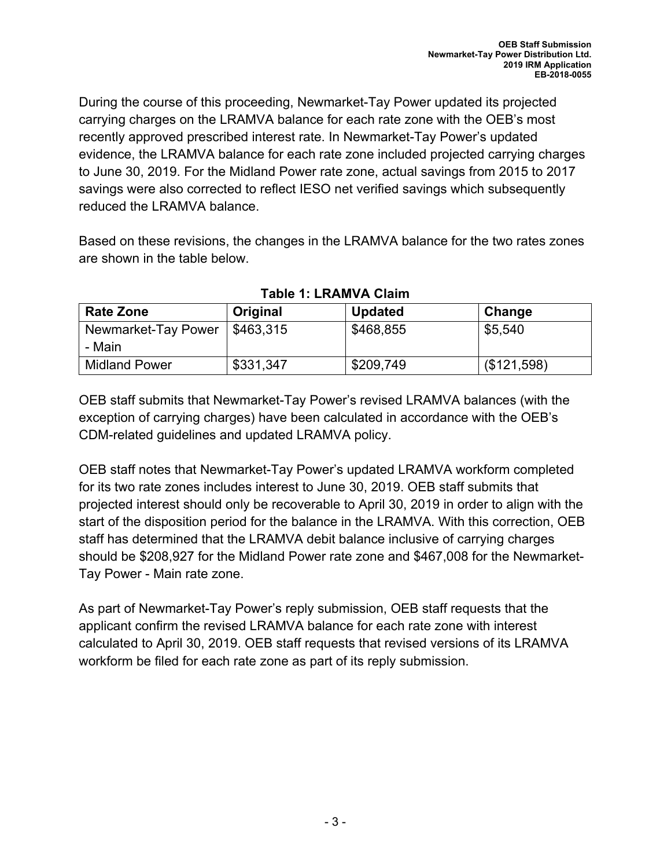During the course of this proceeding, Newmarket-Tay Power updated its projected carrying charges on the LRAMVA balance for each rate zone with the OEB's most recently approved prescribed interest rate. In Newmarket-Tay Power's updated evidence, the LRAMVA balance for each rate zone included projected carrying charges to June 30, 2019. For the Midland Power rate zone, actual savings from 2015 to 2017 savings were also corrected to reflect IESO net verified savings which subsequently reduced the LRAMVA balance.

Based on these revisions, the changes in the LRAMVA balance for the two rates zones are shown in the table below.

| <b>Rate Zone</b>     | Original  | <b>Updated</b> | Change      |
|----------------------|-----------|----------------|-------------|
| Newmarket-Tay Power  | \$463,315 | \$468,855      | \$5,540     |
| - Main               |           |                |             |
| <b>Midland Power</b> | \$331,347 | \$209,749      | (\$121,598) |

**Table 1: LRAMVA Claim** 

OEB staff submits that Newmarket-Tay Power's revised LRAMVA balances (with the exception of carrying charges) have been calculated in accordance with the OEB's CDM-related guidelines and updated LRAMVA policy.

OEB staff notes that Newmarket-Tay Power's updated LRAMVA workform completed for its two rate zones includes interest to June 30, 2019. OEB staff submits that projected interest should only be recoverable to April 30, 2019 in order to align with the start of the disposition period for the balance in the LRAMVA. With this correction, OEB staff has determined that the LRAMVA debit balance inclusive of carrying charges should be \$208,927 for the Midland Power rate zone and \$467,008 for the Newmarket-Tay Power - Main rate zone.

As part of Newmarket-Tay Power's reply submission, OEB staff requests that the applicant confirm the revised LRAMVA balance for each rate zone with interest calculated to April 30, 2019. OEB staff requests that revised versions of its LRAMVA workform be filed for each rate zone as part of its reply submission.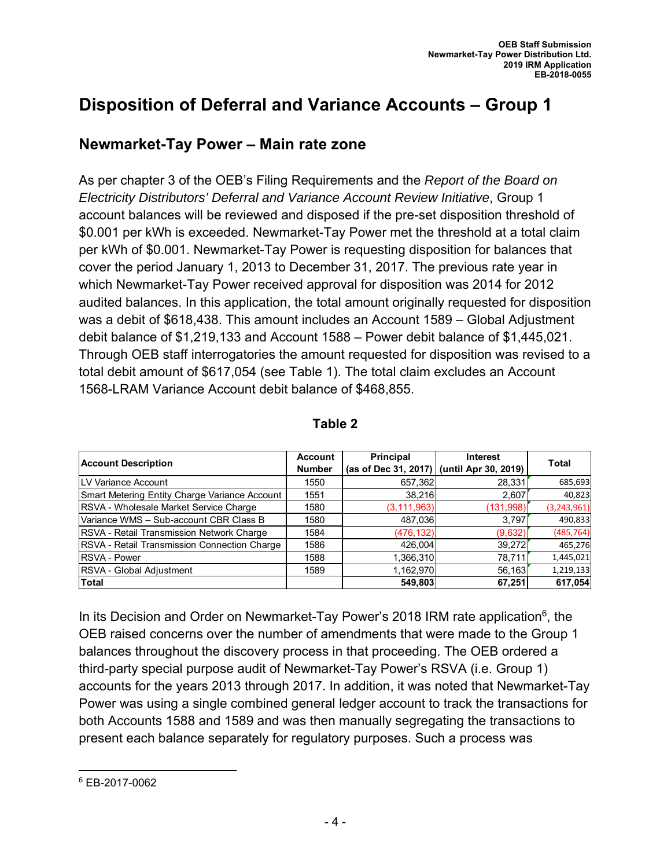## **Disposition of Deferral and Variance Accounts – Group 1**

### **Newmarket-Tay Power – Main rate zone**

As per chapter 3 of the OEB's Filing Requirements and the *Report of the Board on Electricity Distributors' Deferral and Variance Account Review Initiative*, Group 1 account balances will be reviewed and disposed if the pre-set disposition threshold of \$0.001 per kWh is exceeded. Newmarket-Tay Power met the threshold at a total claim per kWh of \$0.001. Newmarket-Tay Power is requesting disposition for balances that cover the period January 1, 2013 to December 31, 2017. The previous rate year in which Newmarket-Tay Power received approval for disposition was 2014 for 2012 audited balances. In this application, the total amount originally requested for disposition was a debit of \$618,438. This amount includes an Account 1589 – Global Adjustment debit balance of \$1,219,133 and Account 1588 – Power debit balance of \$1,445,021. Through OEB staff interrogatories the amount requested for disposition was revised to a total debit amount of \$617,054 (see Table 1). The total claim excludes an Account 1568-LRAM Variance Account debit balance of \$468,855.

| <b>Account Description</b>                    | <b>Account</b><br><b>Number</b> | <b>Principal</b><br>(as of Dec 31, 2017)   (until Apr 30, 2019) | <b>Interest</b> | Total         |
|-----------------------------------------------|---------------------------------|-----------------------------------------------------------------|-----------------|---------------|
| LV Variance Account                           | 1550                            | 657,362                                                         | 28,331          | 685,693       |
| Smart Metering Entity Charge Variance Account | 1551                            | 38,216                                                          | 2,607           | 40,823        |
| RSVA - Wholesale Market Service Charge        | 1580                            | (3, 111, 963)                                                   | (131,998)       | (3, 243, 961) |
| Variance WMS - Sub-account CBR Class B        | 1580                            | 487,036                                                         | 3.797           | 490,833       |
| RSVA - Retail Transmission Network Charge     | 1584                            | (476, 132)                                                      | (9,632)         | (485, 764)    |
| RSVA - Retail Transmission Connection Charge  | 1586                            | 426,004                                                         | 39,272          | 465,276       |
| <b>RSVA - Power</b>                           | 1588                            | 1,366,310                                                       | 78,711          | 1,445,021     |
| RSVA - Global Adjustment                      | 1589                            | 1,162,970                                                       | 56,163          | 1,219,133     |
| Total                                         |                                 | 549,803                                                         | 67,251          | 617,054       |

#### **Table 2**

In its Decision and Order on Newmarket-Tay Power's 2018 IRM rate application<sup>6</sup>, the OEB raised concerns over the number of amendments that were made to the Group 1 balances throughout the discovery process in that proceeding. The OEB ordered a third-party special purpose audit of Newmarket-Tay Power's RSVA (i.e. Group 1) accounts for the years 2013 through 2017. In addition, it was noted that Newmarket-Tay Power was using a single combined general ledger account to track the transactions for both Accounts 1588 and 1589 and was then manually segregating the transactions to present each balance separately for regulatory purposes. Such a process was

 6 EB-2017-0062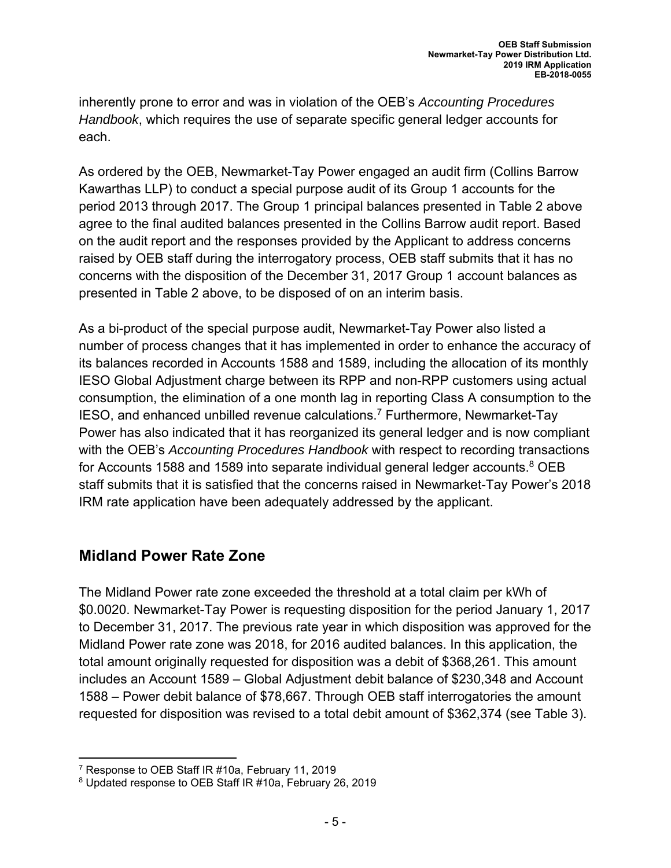inherently prone to error and was in violation of the OEB's *Accounting Procedures Handbook*, which requires the use of separate specific general ledger accounts for each.

As ordered by the OEB, Newmarket-Tay Power engaged an audit firm (Collins Barrow Kawarthas LLP) to conduct a special purpose audit of its Group 1 accounts for the period 2013 through 2017. The Group 1 principal balances presented in Table 2 above agree to the final audited balances presented in the Collins Barrow audit report. Based on the audit report and the responses provided by the Applicant to address concerns raised by OEB staff during the interrogatory process, OEB staff submits that it has no concerns with the disposition of the December 31, 2017 Group 1 account balances as presented in Table 2 above, to be disposed of on an interim basis.

As a bi-product of the special purpose audit, Newmarket-Tay Power also listed a number of process changes that it has implemented in order to enhance the accuracy of its balances recorded in Accounts 1588 and 1589, including the allocation of its monthly IESO Global Adjustment charge between its RPP and non-RPP customers using actual consumption, the elimination of a one month lag in reporting Class A consumption to the IESO, and enhanced unbilled revenue calculations.7 Furthermore, Newmarket-Tay Power has also indicated that it has reorganized its general ledger and is now compliant with the OEB's *Accounting Procedures Handbook* with respect to recording transactions for Accounts 1588 and 1589 into separate individual general ledger accounts.<sup>8</sup> OEB staff submits that it is satisfied that the concerns raised in Newmarket-Tay Power's 2018 IRM rate application have been adequately addressed by the applicant.

### **Midland Power Rate Zone**

The Midland Power rate zone exceeded the threshold at a total claim per kWh of \$0.0020. Newmarket-Tay Power is requesting disposition for the period January 1, 2017 to December 31, 2017. The previous rate year in which disposition was approved for the Midland Power rate zone was 2018, for 2016 audited balances. In this application, the total amount originally requested for disposition was a debit of \$368,261. This amount includes an Account 1589 – Global Adjustment debit balance of \$230,348 and Account 1588 – Power debit balance of \$78,667. Through OEB staff interrogatories the amount requested for disposition was revised to a total debit amount of \$362,374 (see Table 3).

 7 Response to OEB Staff IR #10a, February 11, 2019

<sup>8</sup> Updated response to OEB Staff IR #10a, February 26, 2019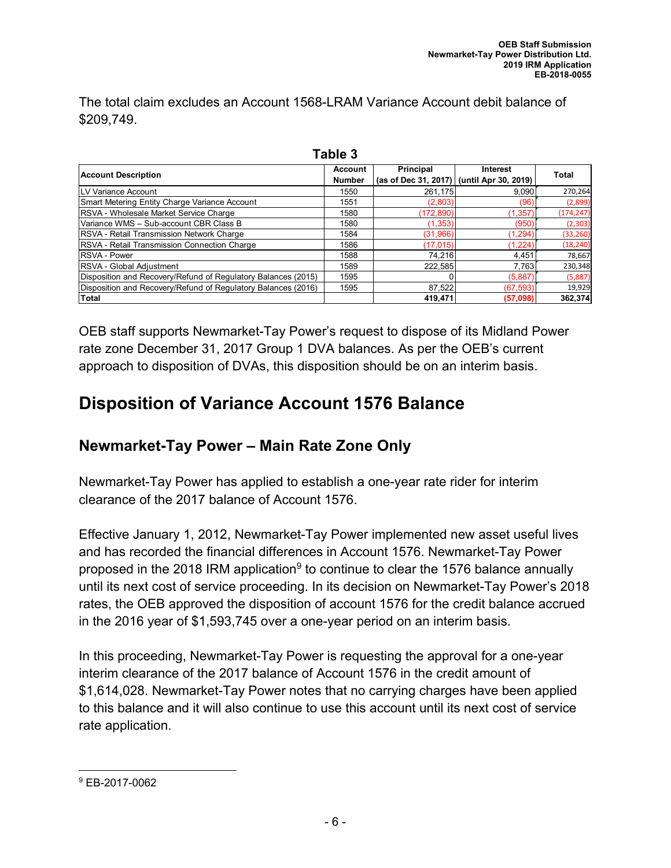The total claim excludes an Account 1568-LRAM Variance Account debit balance of \$209,749.

| .                                                             |                |                                           |           |              |  |  |  |  |  |
|---------------------------------------------------------------|----------------|-------------------------------------------|-----------|--------------|--|--|--|--|--|
| <b>Account Description</b>                                    | <b>Account</b> | Principal                                 | Interest  | <b>Total</b> |  |  |  |  |  |
|                                                               | <b>Number</b>  | (as of Dec 31, 2017) (until Apr 30, 2019) |           |              |  |  |  |  |  |
| LV Variance Account                                           | 1550           | 261,175                                   | 9.090     | 270,264      |  |  |  |  |  |
| Smart Metering Entity Charge Variance Account                 | 1551           | (2,803)                                   | (96)      | (2,899)      |  |  |  |  |  |
| RSVA - Wholesale Market Service Charge                        | 1580           | (172,890)                                 | (1, 357)  | (174, 247)   |  |  |  |  |  |
| Variance WMS - Sub-account CBR Class B                        | 1580           | (1, 353)                                  | (950)     | (2, 303)     |  |  |  |  |  |
| RSVA - Retail Transmission Network Charge                     | 1584           | (31,966)                                  | (1, 294)  | (33, 260)    |  |  |  |  |  |
| RSVA - Retail Transmission Connection Charge                  | 1586           | (17, 015)                                 | (1,224)   | (18, 240)    |  |  |  |  |  |
| <b>RSVA - Power</b>                                           | 1588           | 74,216                                    | 4,451     | 78,667       |  |  |  |  |  |
| RSVA - Global Adjustment                                      | 1589           | 222.585                                   | 7.763     | 230,348      |  |  |  |  |  |
| Disposition and Recovery/Refund of Regulatory Balances (2015) | 1595           |                                           | (5,887)   | (5,887)      |  |  |  |  |  |
| Disposition and Recovery/Refund of Regulatory Balances (2016) | 1595           | 87,522                                    | (67, 593) | 19,929       |  |  |  |  |  |
| <b>Total</b>                                                  |                | 419,471                                   | (57,098)  | 362,374      |  |  |  |  |  |

**Table 3** 

OEB staff supports Newmarket-Tay Power's request to dispose of its Midland Power rate zone December 31, 2017 Group 1 DVA balances. As per the OEB's current approach to disposition of DVAs, this disposition should be on an interim basis.

## **Disposition of Variance Account 1576 Balance**

### **Newmarket-Tay Power – Main Rate Zone Only**

Newmarket-Tay Power has applied to establish a one-year rate rider for interim clearance of the 2017 balance of Account 1576.

Effective January 1, 2012, Newmarket-Tay Power implemented new asset useful lives and has recorded the financial differences in Account 1576. Newmarket-Tay Power proposed in the 2018 IRM application<sup>9</sup> to continue to clear the 1576 balance annually until its next cost of service proceeding. In its decision on Newmarket-Tay Power's 2018 rates, the OEB approved the disposition of account 1576 for the credit balance accrued in the 2016 year of \$1,593,745 over a one-year period on an interim basis.

In this proceeding, Newmarket-Tay Power is requesting the approval for a one-year interim clearance of the 2017 balance of Account 1576 in the credit amount of \$1,614,028. Newmarket-Tay Power notes that no carrying charges have been applied to this balance and it will also continue to use this account until its next cost of service rate application.

 9 EB-2017-0062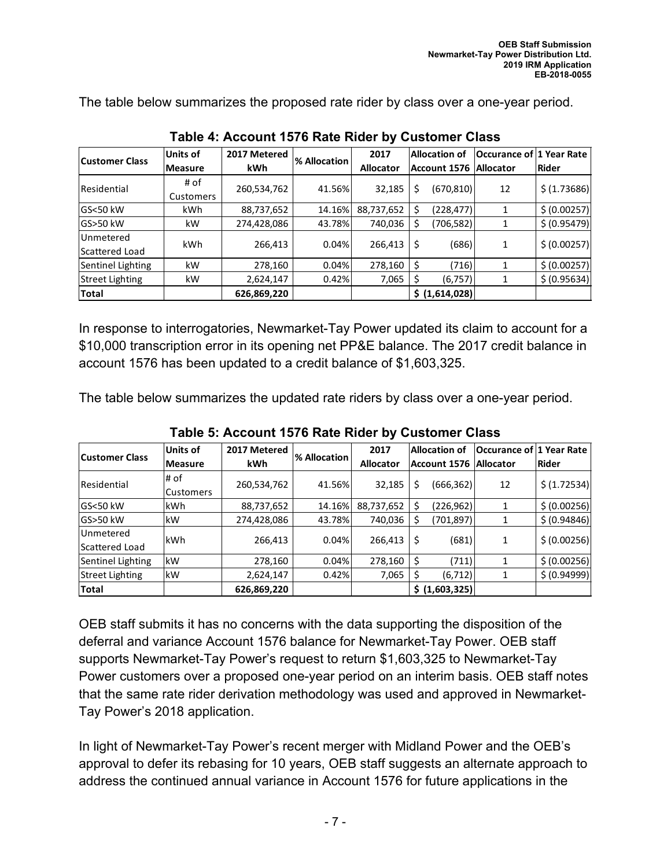The table below summarizes the proposed rate rider by class over a one-year period.

| <b>Customer Class</b>  | <b>Units of</b>  | 2017 Metered | l% Allocation | 2017             | <b>Allocation of</b> |                | Occurance of 1 Year Rate |              |
|------------------------|------------------|--------------|---------------|------------------|----------------------|----------------|--------------------------|--------------|
|                        | <b>Measure</b>   | <b>kWh</b>   |               | <b>Allocator</b> |                      | Account 1576   | <b>Allocator</b>         | <b>Rider</b> |
| Residential            | # of             | 260,534,762  | 41.56%        | 32,185           | Ś                    | (670,810)      | 12                       | \$ (1.73686) |
|                        | <b>Customers</b> |              |               |                  |                      |                |                          |              |
| GS<50 kW               | <b>kWh</b>       | 88,737,652   | 14.16%        | 88,737,652       |                      | (228,477)      | 1                        | \$ (0.00257) |
| GS>50 kW               | kW               | 274,428,086  | 43.78%        | 740,036          |                      | (706,582)      |                          | \$ (0.95479) |
| Unmetered              | kWh              | 266,413      | 0.04%         | 266,413          | Ś                    | (686)          | 1                        | \$ (0.00257) |
| Scattered Load         |                  |              |               |                  |                      |                |                          |              |
| Sentinel Lighting      | kW               | 278,160      | 0.04%         | 278,160          | S                    | (716)          | 1                        | \$ (0.00257) |
| <b>Street Lighting</b> | kW               | 2,624,147    | 0.42%         | 7,065            |                      | (6, 757)       | 1                        | \$ (0.95634) |
| <b>Total</b>           |                  | 626,869,220  |               |                  |                      | \$ (1,614,028) |                          |              |

**Table 4: Account 1576 Rate Rider by Customer Class** 

In response to interrogatories, Newmarket-Tay Power updated its claim to account for a \$10,000 transcription error in its opening net PP&E balance. The 2017 credit balance in account 1576 has been updated to a credit balance of \$1,603,325.

The table below summarizes the updated rate riders by class over a one-year period.

| <b>Customer Class</b>  | <b>Units of</b>  | 2017 Metered | % Allocation | 2017             | Allocation of<br>Account 1576   Allocator |             | <b>Occurance of 1 Year Rate</b> |              |
|------------------------|------------------|--------------|--------------|------------------|-------------------------------------------|-------------|---------------------------------|--------------|
|                        | <b>Measure</b>   | <b>kWh</b>   |              | <b>Allocator</b> |                                           |             |                                 | <b>Rider</b> |
| Residential            | # of             | 260,534,762  | 41.56%       | 32,185           | Ś                                         | (666,362)   | 12                              | \$ (1.72534) |
|                        | <b>Customers</b> |              |              |                  |                                           |             |                                 |              |
| GS<50 kW               | kWh              | 88,737,652   | 14.16%       | 88,737,652       |                                           | (226, 962)  |                                 | \$ (0.00256) |
| GS>50 kW               | kW               | 274,428,086  | 43.78%       | 740,036          |                                           | (701, 897)  |                                 | \$ (0.94846) |
| Unmetered              | <b>kWh</b>       | 266,413      | 0.04%        | 266,413          |                                           | (681)       | 1                               | \$ (0.00256) |
| Scattered Load         |                  |              |              |                  |                                           |             |                                 |              |
| Sentinel Lighting      | kW               | 278,160      | 0.04%        | 278,160          |                                           | (711)       |                                 | \$ (0.00256) |
| <b>Street Lighting</b> | <b>kW</b>        | 2,624,147    | 0.42%        | 7,065            |                                           | (6, 712)    |                                 | \$ (0.94999) |
| Total                  |                  | 626,869,220  |              |                  | \$.                                       | (1,603,325) |                                 |              |

**Table 5: Account 1576 Rate Rider by Customer Class** 

OEB staff submits it has no concerns with the data supporting the disposition of the deferral and variance Account 1576 balance for Newmarket-Tay Power. OEB staff supports Newmarket-Tay Power's request to return \$1,603,325 to Newmarket-Tay Power customers over a proposed one-year period on an interim basis. OEB staff notes that the same rate rider derivation methodology was used and approved in Newmarket-Tay Power's 2018 application.

In light of Newmarket-Tay Power's recent merger with Midland Power and the OEB's approval to defer its rebasing for 10 years, OEB staff suggests an alternate approach to address the continued annual variance in Account 1576 for future applications in the